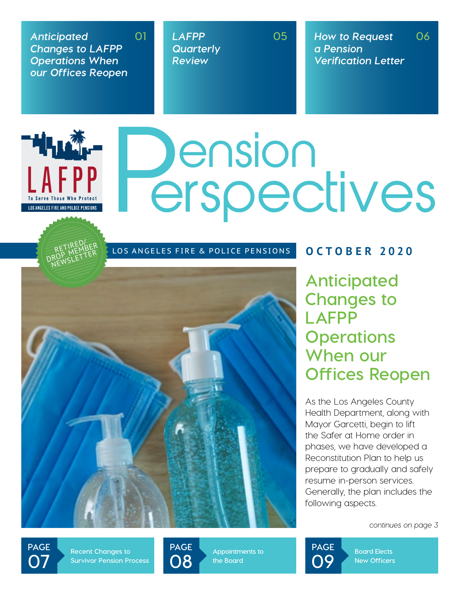*Anticipated Changes to LAFPP Operations When our Offices Reopen* **01**

> RETIRED/ RETIREWBER<br>DROP METTER

LOS ANGELES FIRE AND POLICE PENSIONS

▔<sup>▙▌▊</sup>▙▙▓▛

*LAFPP Quarterly Review*

**05** *How to Request a Pension Verification Letter* **06**

# Dension<br>erspectives

LOS ANGELES FIRE & POLICE PENSIONS **OCTOBER 2020** 



**Anticipated Changes to LAFPP Operations When our Offices Reopen**

As the Los Angeles County Health Department, along with Mayor Garcetti, begin to lift the Safer at Home order in phases, we have developed a Reconstitution Plan to help us prepare to gradually and safely resume in-person services. Generally, the plan includes the following aspects.

*continues on page 3*

**page 07**

**Recent Changes to Survivor Pension Process** **page 08**

**Appointments to the Board**



**Board Elects New Officers**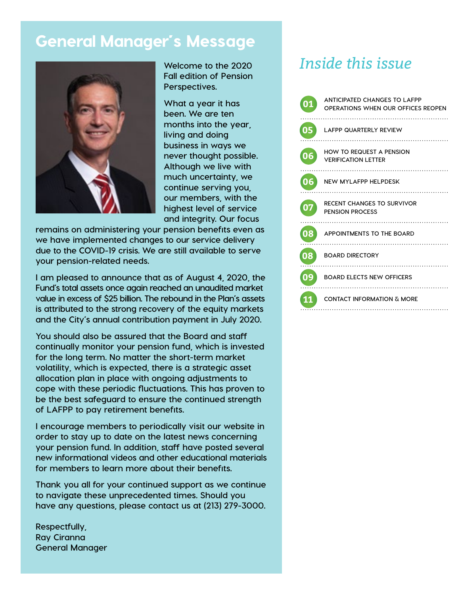# General Manager's Message



**Welcome to the 2020 Fall edition of Pension Perspectives.** 

**What a year it has been. We are ten months into the year, living and doing business in ways we never thought possible. Although we live with much uncertainty, we continue serving you, our members, with the highest level of service and integrity. Our focus** 

**remains on administering your pension benefits even as we have implemented changes to our service delivery due to the COVID-19 crisis. We are still available to serve your pension-related needs.**

**I am pleased to announce that as of August 4, 2020, the Fund's total assets once again reached an unaudited market value in excess of \$25 billion. The rebound in the Plan's assets is attributed to the strong recovery of the equity markets and the City's annual contribution payment in July 2020.** 

**You should also be assured that the Board and staff continually monitor your pension fund, which is invested for the long term. No matter the short-term market volatility, which is expected, there is a strategic asset allocation plan in place with ongoing adjustments to cope with these periodic fluctuations. This has proven to be the best safeguard to ensure the continued strength of LAFPP to pay retirement benefits.**

**I encourage members to periodically visit our website in order to stay up to date on the latest news concerning your pension fund. In addition, staff have posted several new informational videos and other educational materials for members to learn more about their benefits.** 

**Thank you all for your continued support as we continue to navigate these unprecedented times. Should you have any questions, please contact us at (213) 279-3000.**

**Respectfully, Ray Ciranna General Manager** 

# *Inside this issue*

| 01 | ANTICIPATED CHANGES TO LAFPP<br>OPERATIONS WHEN OUR OFFICES REOPEN |
|----|--------------------------------------------------------------------|
| 05 | <b>LAFPP QUARTERLY REVIEW</b>                                      |
| 06 | HOW TO REQUEST A PENSION<br><b>VERIFICATION LETTER</b>             |
| 06 | <b>NEW MYLAFPP HELPDESK</b>                                        |
| 07 | RECENT CHANGES TO SURVIVOR<br><b>PENSION PROCESS</b>               |
| 08 | APPOINTMENTS TO THE BOARD                                          |
| 08 | <b>BOARD DIRECTORY</b>                                             |
| 09 | <b>BOARD ELECTS NEW OFFICERS</b>                                   |
| 11 | CONTACT INFORMATION & MORE                                         |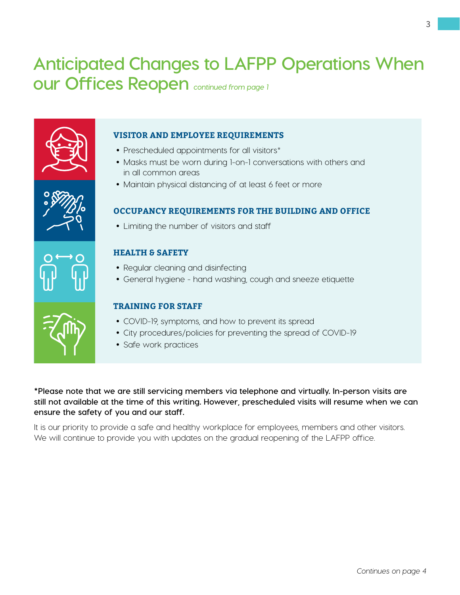# **Anticipated Changes to LAFPP Operations When our Offices Reopen** *continued from page 1*





- Prescheduled appointments for all visitors\*
- Masks must be worn during 1-on-1 conversations with others and in all common areas
- Maintain physical distancing of at least 6 feet or more

# **Occupancy requirements for the building and office**

Limiting the number of visitors and staff

# **Health & Safety**

- Regular cleaning and disinfecting
- General hygiene hand washing, cough and sneeze etiquette

## **Training for staff**

- COVID-19, symptoms, and how to prevent its spread
- City procedures/policies for preventing the spread of COVID-19
- Safe work practices

**\*Please note that we are still servicing members via telephone and virtually. In-person visits are still not available at the time of this writing. However, prescheduled visits will resume when we can ensure the safety of you and our staff.**

It is our priority to provide a safe and healthy workplace for employees, members and other visitors. We will continue to provide you with updates on the gradual reopening of the LAFPP office.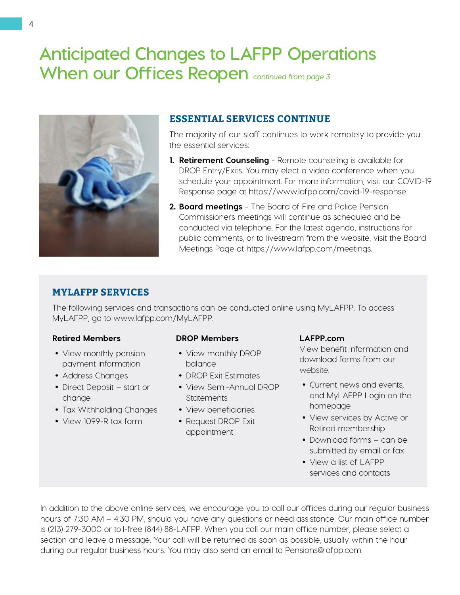# **Anticipated Changes to LAFPP Operations When our Offices Reopen** *continued from page 3*



# **ESSENTIAL SERVICES CONTINUE**

The majority of our staff continues to work remotely to provide you the essential services:

- **1. Retirement Counseling** Remote counseling is available for DROP Entry/Exits. You may elect a video conference when you schedule your appointment. For more information, visit our COVID-19 Response page at [https://www.lafpp.com/covid-19-response.](https://www.lafpp.com/covid-19-response)
- **2. Board meetings** The Board of Fire and Police Pension Commissioners meetings will continue as scheduled and be conducted via telephone. For the latest agenda, instructions for public comments, or to livestream from the website, visit the Board Meetings Page at https://www.lafpp.com/meetings.

# **MyLAFPP Services**

The following services and transactions can be conducted online using MyLAFPP. To access MyLAFPP, go to www.lafpp.com/MyLAFPP.

## **Retired Members**

- View monthly pension payment information
- Address Changes
- Direct Deposit start or change
- Tax Withholding Changes
- View 1099-R tax form

#### **DROP Members**

- View monthly DROP balance
- DROP Exit Estimates
- View Semi-Annual DROP **Statements**
- View beneficiaries
- Request DROP Exit appointment

#### **LAFPP.com**

View benefit information and download forms from our website.

- Current news and events, and MyLAFPP Login on the homepage
- View services by Active or Retired membership
- Download forms can be submitted by email or fax
- View a list of LAFPP services and contacts

In addition to the above online services, we encourage you to call our offices during our regular business hours of 7:30 AM – 4:30 PM, should you have any questions or need assistance. Our main office number is (213) 279-3000 or toll-free (844) 88-LAFPP. When you call our main office number, please select a section and leave a message. Your call will be returned as soon as possible, usually within the hour during our regular business hours. You may also send an email to [Pensions@lafpp.com.](mailto:Pensions%40lafpp.com.?subject=)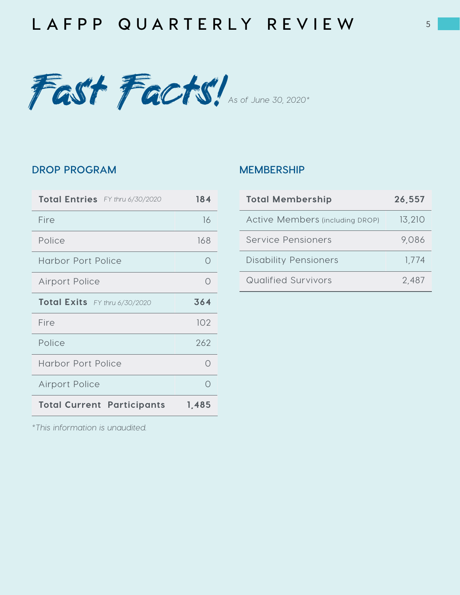# **L A FPP Q UA R T E RLY R E V I E W**



# **drop program**

| Total Entries FY thru 6/30/2020   | 184   |
|-----------------------------------|-------|
| Fire                              | 16    |
| Police                            | 168   |
| <b>Harbor Port Police</b>         |       |
| <b>Airport Police</b>             |       |
| Total Exits FY thru 6/30/2020     | 364   |
| Fire                              | 102   |
| Police                            | 262   |
| Harbor Port Police                |       |
| <b>Airport Police</b>             |       |
| <b>Total Current Participants</b> | 1,485 |

# **Membership**

| <b>Total Membership</b>                | 26.557 |
|----------------------------------------|--------|
| <b>Active Members (including DROP)</b> | 13,210 |
| Service Pensioners                     | 9,086  |
| <b>Disability Pensioners</b>           | 1,774  |
| Qualified Survivors                    | 2,487  |

*\*This information is unaudited.*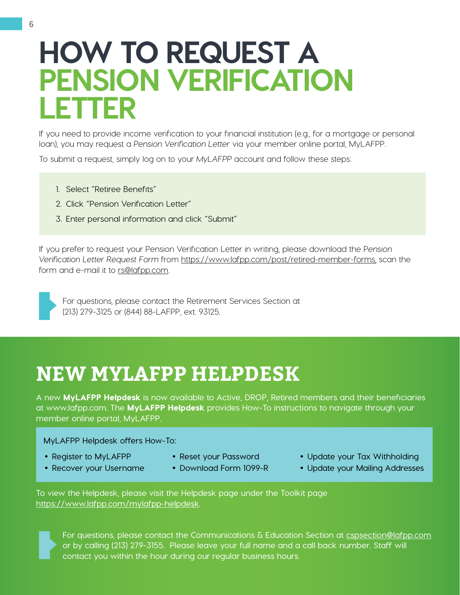# **HOW TO REQUEST A PENSION VERIFICATION LETTER**

If you need to provide income verification to your financial institution (e.g., for a mortgage or personal loan), you may request a *Pension Verification Letter* via your member online portal, MyLAFPP.

To submit a request, simply log on to your *MyLAFPP* account and follow these steps:

- 1. Select "Retiree Benefits"
- 2. Click "Pension Verification Letter"
- 3. Enter personal information and click "Submit"

If you prefer to request your Pension Verification Letter in writing, please download the P*ension Verification Letter Request Form* from<https://www.lafpp.com/post/retired-member-forms>, scan the form and e-mail it to [rs@lafpp.com](mailto:rs%40lafpp.com?subject=).



For questions, please contact the Retirement Services Section at (213) 279-3125 or (844) 88-LAFPP, ext. 93125.

# **NEW MyLAFPP HELPDESK**

**A new** MyLAFPP Helpdesk **is now available to Active, DROP, Retired members and their beneficiaries at www.lafpp.com. The** MyLAFPP Helpdesk **provides How-To instructions to navigate through your member online portal, MyLAFPP.** 

 **MyLAFPP Helpdesk offers How-To:**

- **Register to MyLAFPP**
- 
- **Update your Tax Withholding**
- **Update your Mailing Addresses**
- **Recover your Username**
- **Reset your Password Download Form 1099-R**
- **To view the Helpdesk, please visit the Helpdesk page under the Toolkit page <https://www.lafpp.com/mylafpp-helpdesk>.**

**For questions, please contact the Communications & Education Section at [cspsection@lafpp.com](mailto:cspsection%40lafpp.com?subject=) or by calling (213) 279-3155. Please leave your full name and a call back number. Staff will contact you within the hour during our regular business hours.**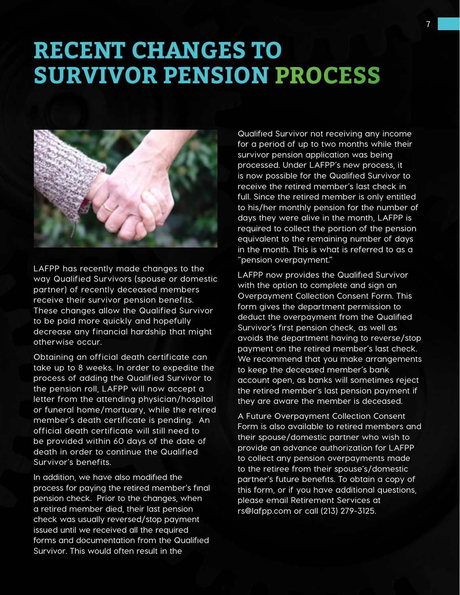# **RECENT CHANGES TO SURVIVOR PENSION PROCESS**



**LAFPP has recently made changes to the way Qualified Survivors (spouse or domestic partner) of recently deceased members receive their survivor pension benefits. These changes allow the Qualified Survivor to be paid more quickly and hopefully decrease any financial hardship that might otherwise occur.** 

**Obtaining an official death certificate can take up to 8 weeks. In order to expedite the process of adding the Qualified Survivor to the pension roll, LAFPP will now accept a letter from the attending physician/hospital or funeral home/mortuary, while the retired member's death certificate is pending. An official death certificate will still need to be provided within 60 days of the date of death in order to continue the Qualified Survivor's benefits.**

**In addition, we have also modified the process for paying the retired member's final pension check. Prior to the changes, when a retired member died, their last pension check was usually reversed/stop payment issued until we received all the required forms and documentation from the Qualified Survivor. This would often result in the** 

**Qualified Survivor not receiving any income for a period of up to two months while their survivor pension application was being processed. Under LAFPP's new process, it is now possible for the Qualified Survivor to receive the retired member's last check in full. Since the retired member is only entitled to his/her monthly pension for the number of days they were alive in the month, LAFPP is required to collect the portion of the pension equivalent to the remaining number of days in the month. This is what is referred to as a "pension overpayment."**

**LAFPP now provides the Qualified Survivor with the option to complete and sign an Overpayment Collection Consent Form. This form gives the department permission to deduct the overpayment from the Qualified Survivor's first pension check, as well as avoids the department having to reverse/stop payment on the retired member's last check. We recommend that you make arrangements to keep the deceased member's bank account open, as banks will sometimes reject the retired member's last pension payment if they are aware the member is deceased.**

**A Future Overpayment Collection Consent Form is also available to retired members and their spouse/domestic partner who wish to provide an advance authorization for LAFPP to collect any pension overpayments made to the retiree from their spouse's/domestic partner's future benefits. To obtain a copy of this form, or if you have additional questions, please email Retirement Services at [rs@lafpp.com](mailto:rs%40lafpp.com?subject=) or call (213) 279-3125.**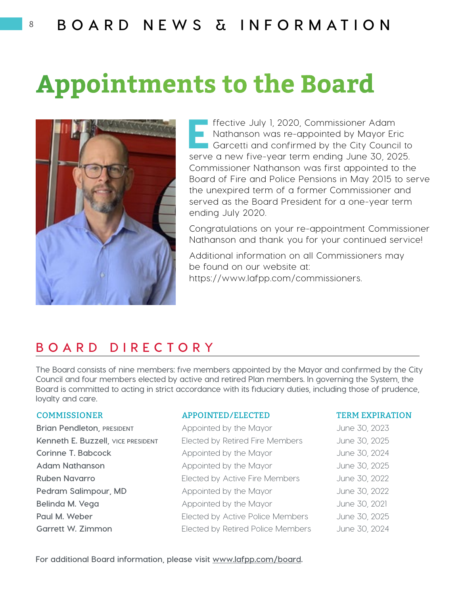# **Appointments to the Board**



Effective July 1, 2020, Commissioner Adam<br>Nathanson was re-appointed by Mayor Er<br>Garcetti and confirmed by the City Counci Nathanson was re-appointed by Mayor Eric Garcetti and confirmed by the City Council to serve a new five-year term ending June 30, 2025. Commissioner Nathanson was first appointed to the Board of Fire and Police Pensions in May 2015 to serve the unexpired term of a former Commissioner and served as the Board President for a one-year term ending July 2020.

Congratulations on your re-appointment Commissioner Nathanson and thank you for your continued service!

Additional information on all Commissioners may be found on our website at: <https://www.lafpp.com/commissioners>.

# **bo a rd dir e ctory**

**The Board consists of nine members: five members appointed by the Mayor and confirmed by the City Council and four members elected by active and retired Plan members. In governing the System, the Board is committed to acting in strict accordance with its fiduciary duties, including those of prudence, loyalty and care.** 

**Brian Pendleton, PRESIDENT** Appointed by the Mayor **Account Account Appointed** by the Mayor

#### COMMISSIONER APPOINTED/ELECTED TERM EXPIRATION

**Kenneth E. Buzzell, vice PRESIDENT** Elected by Retired Fire Members June 30, 2025 **Corinne T. Babcock Appointed by the Mayor** June 30, 2024 Adam Nathanson **Appointed by the Mayor** June 30, 2025 **Ruben Navarro Elected by Active Fire Members** June 30, 2022 **Pedram Salimpour, MD** Appointed by the Mayor June 30, 2022 **Belinda M. Vega Appointed by the Mayor** June 30, 2021 Paul M. Weber **Elected by Active Police Members** June 30, 2025 **Garrett W. Zimmon** Elected by Retired Police Members June 30, 2024

**For additional Board information, please visit [www.lafpp.com/board.](http://www.lafpp.com/board)**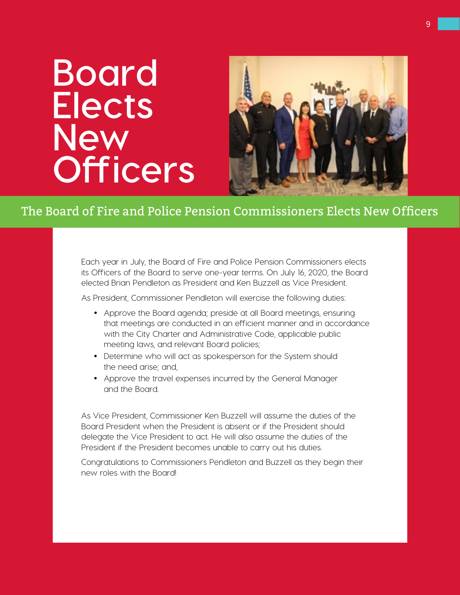# **Board Elects New Officers**



# The Board of Fire and Police Pension Commissioners Elects New Officers

Each year in July, the Board of Fire and Police Pension Commissioners elects its Officers of the Board to serve one-year terms. On July 16, 2020, the Board elected Brian Pendleton as President and Ken Buzzell as Vice President.

As President, Commissioner Pendleton will exercise the following duties:

- Approve the Board agenda; preside at all Board meetings, ensuring that meetings are conducted in an efficient manner and in accordance with the City Charter and Administrative Code, applicable public meeting laws, and relevant Board policies;
- Determine who will act as spokesperson for the System should the need arise; and,
- Approve the travel expenses incurred by the General Manager and the Board.

As Vice President, Commissioner Ken Buzzell will assume the duties of the Board President when the President is absent or if the President should delegate the Vice President to act. He will also assume the duties of the President if the President becomes unable to carry out his duties.

Congratulations to Commissioners Pendleton and Buzzell as they begin their new roles with the Board!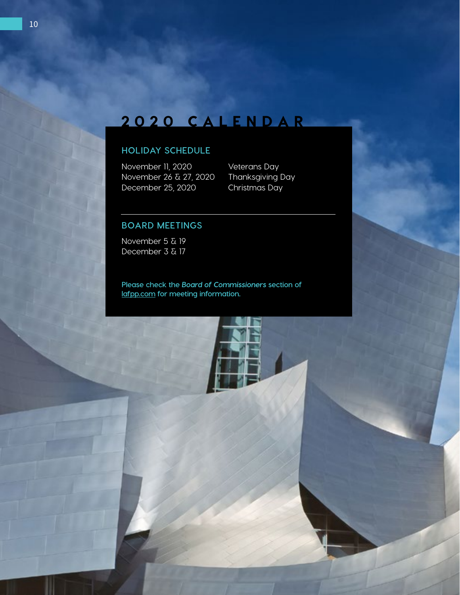# 2020 CALENDAR

# **Holiday Schedule**

November 11, 2020 Veterans Day<br>November 26 & 27, 2020 Thanksgiving Day November 26 & 27, 2020 Thanksgiving D<br>December 25, 2020 Christmas Day December 25, 2020

## **Board Meetings**

November 5 & 19 December 3 & 17

**Please check the** *Board of Commissioners* **section of lafpp.com for meeting information.** 

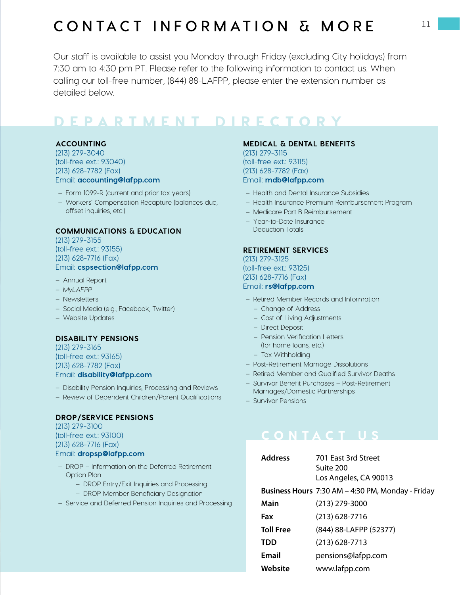# **cONTACT INFORMATION & MORE**

Our staff is available to assist you Monday through Friday (excluding City holidays) from 7:30 am to 4:30 pm PT. Please refer to the following information to contact us. When calling our toll-free number, (844) 88-LAFPP, please enter the extension number as detailed below.

# d epa r t me nt dir e ctory

#### **Accounting**

(213) 279-3040 (toll-free ext.: 93040) (213) 628-7782 (Fax) Email: **[accounting@lafpp.com](mailto:accounting%40lafpp.com?subject=)**

- Form 1099-R (current and prior tax years)
- Workers' Compensation Recapture (balances due, offset inquiries, etc.)

#### **Communications & Education**

(213) 279-3155 (toll-free ext.: 93155) (213) 628-7716 (Fax) Email: **[cspsection@lafpp.com](mailto:cspsection%40lafpp.com?subject=)**

- Annual Report
- *MyLAFPP*
- Newsletters
- Social Media (e.g., Facebook, Twitter)
- Website Updates

#### **Disability Pensions**

(213) 279-3165 (toll-free ext.: 93165) (213) 628-7782 (Fax) Email: **[disability@lafpp.com](mailto:disability%40lafpp.com?subject=)**

- Disability Pension Inquiries, Processing and Reviews
- Review of Dependent Children/Parent Qualifications

#### **DROP/Service Pensions**

(213) 279-3100 (toll-free ext.: 93100) (213) 628-7716 (Fax) Email: **[dropsp@lafpp.com](mailto:dropsp%40lafpp.com?subject=)**

- DROP Information on the Deferred Retirement Option Plan
	- DROP Entry/Exit Inquiries and Processing
	- DROP Member Beneficiary Designation
- Service and Deferred Pension Inquiries and Processing

### **Medical & Dental Benefits**

(213) 279-3115 (toll-free ext.: 93115) (213) 628-7782 (Fax) Email: **[mdb@lafpp.com](mailto:mdb%40lafpp.com?subject=)**

- Health and Dental Insurance Subsidies
- Health Insurance Premium Reimbursement Program
- Medicare Part B Reimbursement
- Year-to-Date Insurance Deduction Totals

#### **Retirement Services**

(213) 279-3125 (toll-free ext.: 93125) (213) 628-7716 (Fax) Email: **[rs@lafpp.com](mailto:rs%40lafpp.com?subject=)**

- Retired Member Records and Information
	- Change of Address
	- Cost of Living Adjustments
	- Direct Deposit
	- Pension Verification Letters (for home loans, etc.)
	- Tax Withholding
- Post-Retirement Marriage Dissolutions
- Retired Member and Qualified Survivor Deaths
- Survivor Benefit Purchases Post-Retirement Marriages/Domestic Partnerships
- Survivor Pensions

# CONTACT US

| <b>Address</b>   | 701 East 3rd Street                               |
|------------------|---------------------------------------------------|
|                  | Suite 200                                         |
|                  | Los Angeles, CA 90013                             |
|                  | Business Hours 7:30 AM - 4:30 PM, Monday - Friday |
| Main             | (213) 279-3000                                    |
| Fax              | $(213)$ 628-7716                                  |
| <b>Toll Free</b> | (844) 88-LAFPP (52377)                            |
| TDD              | (213) 628-7713                                    |
| Email            | pensions@lafpp.com                                |
| Website          | www.lafpp.com                                     |